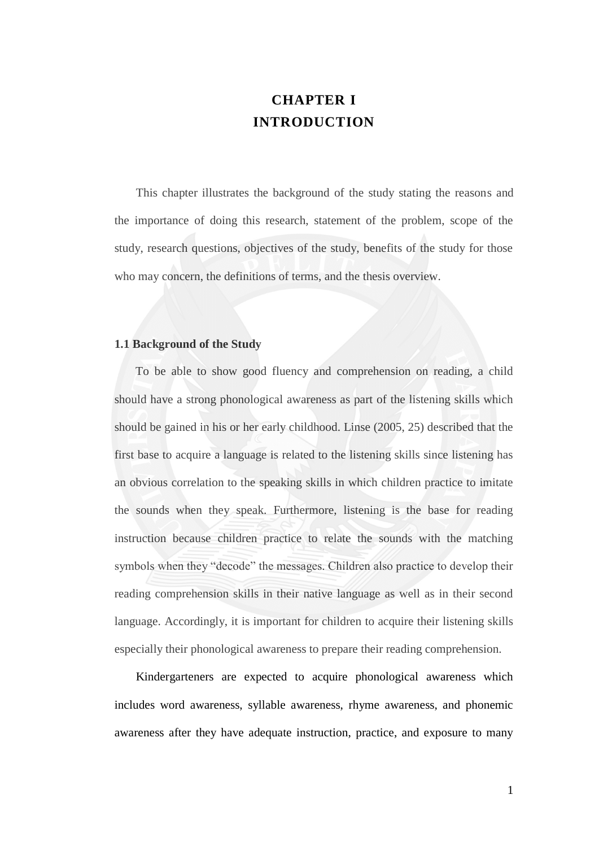# **CHAPTER I INTRODUCTION**

 This chapter illustrates the background of the study stating the reasons and the importance of doing this research, statement of the problem, scope of the study, research questions, objectives of the study, benefits of the study for those who may concern, the definitions of terms, and the thesis overview.

## **1.1 Background of the Study**

 To be able to show good fluency and comprehension on reading, a child should have a strong phonological awareness as part of the listening skills which should be gained in his or her early childhood. Linse (2005, 25) described that the first base to acquire a language is related to the listening skills since listening has an obvious correlation to the speaking skills in which children practice to imitate the sounds when they speak. Furthermore, listening is the base for reading instruction because children practice to relate the sounds with the matching symbols when they "decode" the messages. Children also practice to develop their reading comprehension skills in their native language as well as in their second language. Accordingly, it is important for children to acquire their listening skills especially their phonological awareness to prepare their reading comprehension.

Kindergarteners are expected to acquire phonological awareness which includes word awareness, syllable awareness, rhyme awareness, and phonemic awareness after they have adequate instruction, practice, and exposure to many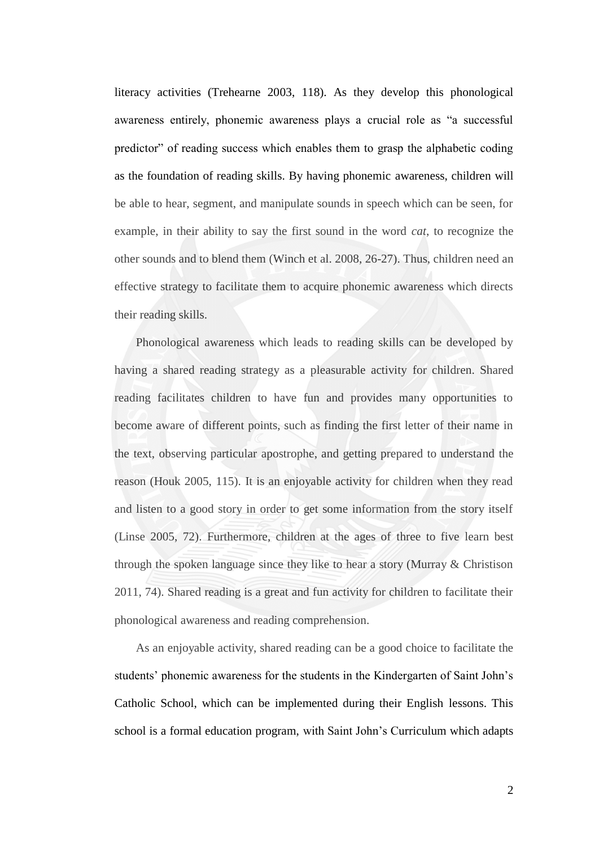literacy activities (Trehearne 2003, 118). As they develop this phonological awareness entirely, phonemic awareness plays a crucial role as "a successful predictor" of reading success which enables them to grasp the alphabetic coding as the foundation of reading skills. By having phonemic awareness, children will be able to hear, segment, and manipulate sounds in speech which can be seen, for example, in their ability to say the first sound in the word *cat*, to recognize the other sounds and to blend them (Winch et al. 2008, 26-27). Thus, children need an effective strategy to facilitate them to acquire phonemic awareness which directs their reading skills.

Phonological awareness which leads to reading skills can be developed by having a shared reading strategy as a pleasurable activity for children. Shared reading facilitates children to have fun and provides many opportunities to become aware of different points, such as finding the first letter of their name in the text, observing particular apostrophe, and getting prepared to understand the reason (Houk 2005, 115). It is an enjoyable activity for children when they read and listen to a good story in order to get some information from the story itself (Linse 2005, 72). Furthermore, children at the ages of three to five learn best through the spoken language since they like to hear a story (Murray & Christison 2011, 74). Shared reading is a great and fun activity for children to facilitate their phonological awareness and reading comprehension.

As an enjoyable activity, shared reading can be a good choice to facilitate the students' phonemic awareness for the students in the Kindergarten of Saint John's Catholic School, which can be implemented during their English lessons. This school is a formal education program, with Saint John"s Curriculum which adapts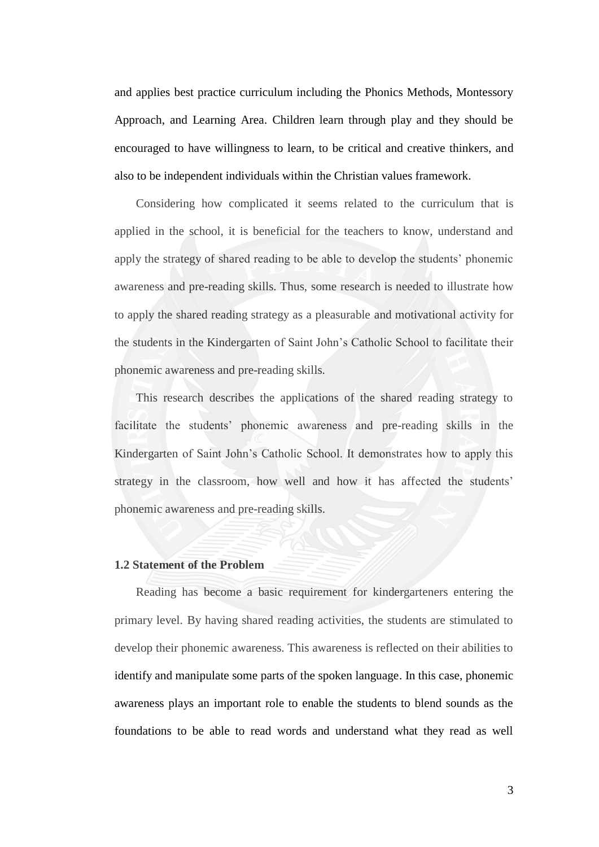and applies best practice curriculum including the Phonics Methods, Montessory Approach, and Learning Area. Children learn through play and they should be encouraged to have willingness to learn, to be critical and creative thinkers, and also to be independent individuals within the Christian values framework.

Considering how complicated it seems related to the curriculum that is applied in the school, it is beneficial for the teachers to know, understand and apply the strategy of shared reading to be able to develop the students" phonemic awareness and pre-reading skills. Thus, some research is needed to illustrate how to apply the shared reading strategy as a pleasurable and motivational activity for the students in the Kindergarten of Saint John"s Catholic School to facilitate their phonemic awareness and pre-reading skills.

This research describes the applications of the shared reading strategy to facilitate the students" phonemic awareness and pre-reading skills in the Kindergarten of Saint John"s Catholic School. It demonstrates how to apply this strategy in the classroom, how well and how it has affected the students' phonemic awareness and pre-reading skills.

## **1.2 Statement of the Problem**

Reading has become a basic requirement for kindergarteners entering the primary level. By having shared reading activities, the students are stimulated to develop their phonemic awareness. This awareness is reflected on their abilities to identify and manipulate some parts of the spoken language. In this case, phonemic awareness plays an important role to enable the students to blend sounds as the foundations to be able to read words and understand what they read as well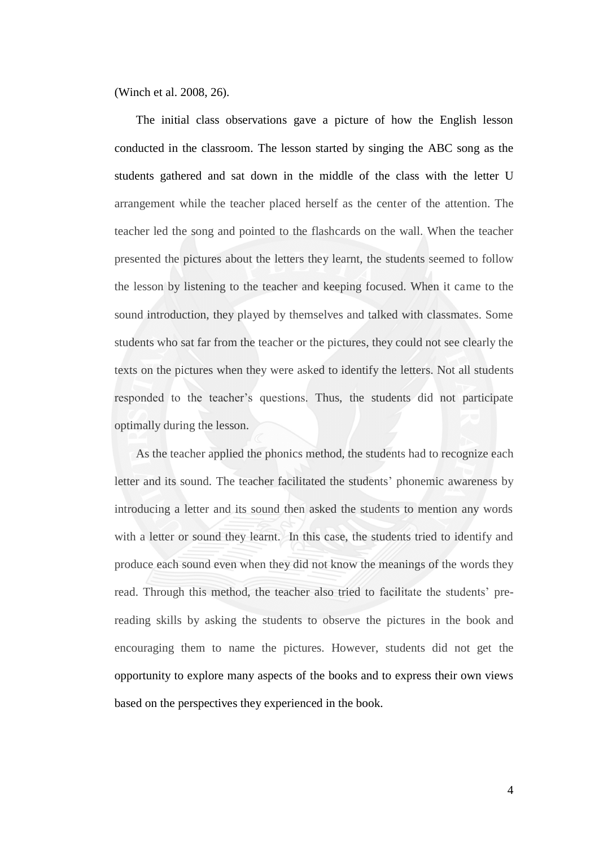(Winch et al. 2008, 26).

The initial class observations gave a picture of how the English lesson conducted in the classroom. The lesson started by singing the ABC song as the students gathered and sat down in the middle of the class with the letter U arrangement while the teacher placed herself as the center of the attention. The teacher led the song and pointed to the flashcards on the wall. When the teacher presented the pictures about the letters they learnt, the students seemed to follow the lesson by listening to the teacher and keeping focused. When it came to the sound introduction, they played by themselves and talked with classmates. Some students who sat far from the teacher or the pictures, they could not see clearly the texts on the pictures when they were asked to identify the letters. Not all students responded to the teacher"s questions. Thus, the students did not participate optimally during the lesson.

As the teacher applied the phonics method, the students had to recognize each letter and its sound. The teacher facilitated the students' phonemic awareness by introducing a letter and its sound then asked the students to mention any words with a letter or sound they learnt. In this case, the students tried to identify and produce each sound even when they did not know the meanings of the words they read. Through this method, the teacher also tried to facilitate the students' prereading skills by asking the students to observe the pictures in the book and encouraging them to name the pictures. However, students did not get the opportunity to explore many aspects of the books and to express their own views based on the perspectives they experienced in the book.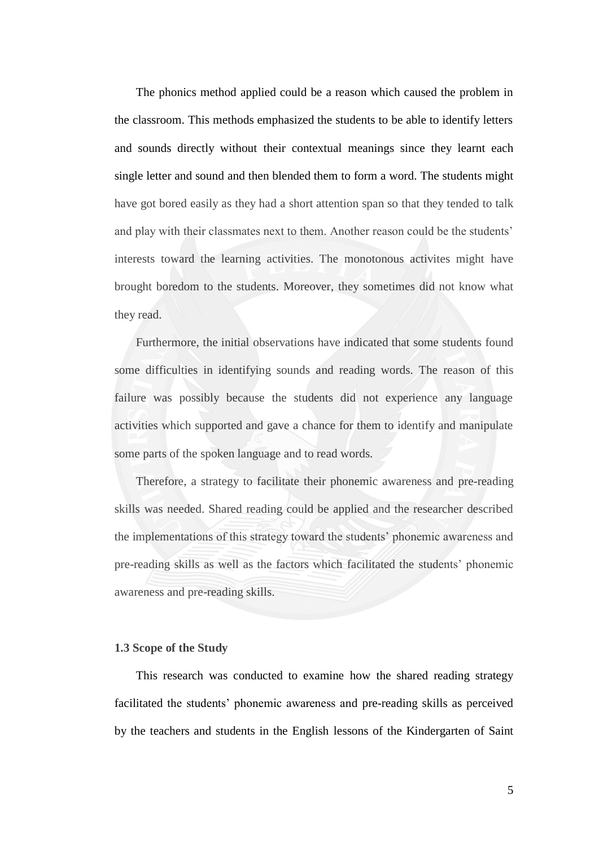The phonics method applied could be a reason which caused the problem in the classroom. This methods emphasized the students to be able to identify letters and sounds directly without their contextual meanings since they learnt each single letter and sound and then blended them to form a word. The students might have got bored easily as they had a short attention span so that they tended to talk and play with their classmates next to them. Another reason could be the students' interests toward the learning activities. The monotonous activites might have brought boredom to the students. Moreover, they sometimes did not know what they read.

Furthermore, the initial observations have indicated that some students found some difficulties in identifying sounds and reading words. The reason of this failure was possibly because the students did not experience any language activities which supported and gave a chance for them to identify and manipulate some parts of the spoken language and to read words.

Therefore, a strategy to facilitate their phonemic awareness and pre-reading skills was needed. Shared reading could be applied and the researcher described the implementations of this strategy toward the students" phonemic awareness and pre-reading skills as well as the factors which facilitated the students" phonemic awareness and pre-reading skills.

# **1.3 Scope of the Study**

This research was conducted to examine how the shared reading strategy facilitated the students" phonemic awareness and pre-reading skills as perceived by the teachers and students in the English lessons of the Kindergarten of Saint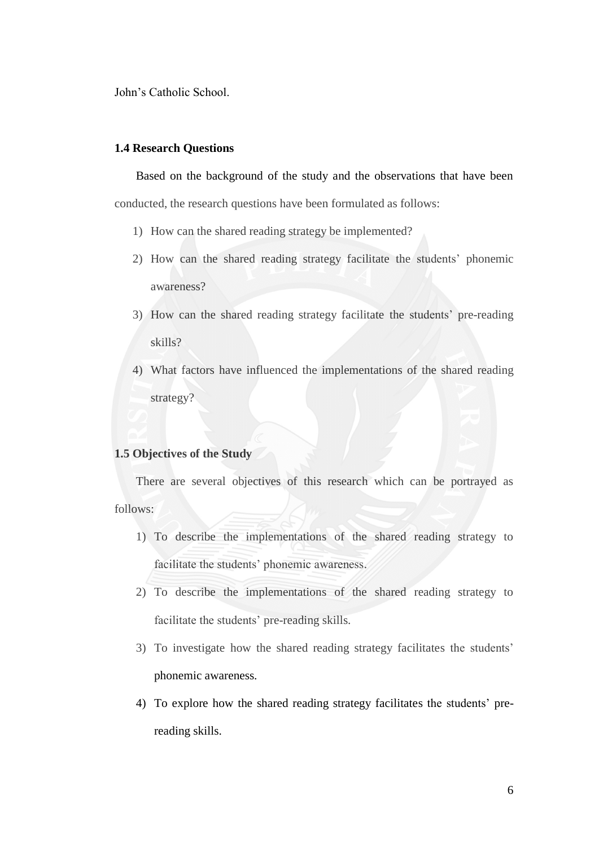John"s Catholic School.

# **1.4 Research Questions**

Based on the background of the study and the observations that have been conducted, the research questions have been formulated as follows:

- 1) How can the shared reading strategy be implemented?
- 2) How can the shared reading strategy facilitate the students" phonemic awareness?
- 3) How can the shared reading strategy facilitate the students" pre-reading skills?
- 4) What factors have influenced the implementations of the shared reading strategy?

## **1.5 Objectives of the Study**

There are several objectives of this research which can be portrayed as follows:

- 1) To describe the implementations of the shared reading strategy to facilitate the students' phonemic awareness.
- 2) To describe the implementations of the shared reading strategy to facilitate the students' pre-reading skills.
- 3) To investigate how the shared reading strategy facilitates the students" phonemic awareness.
- 4) To explore how the shared reading strategy facilitates the students" prereading skills.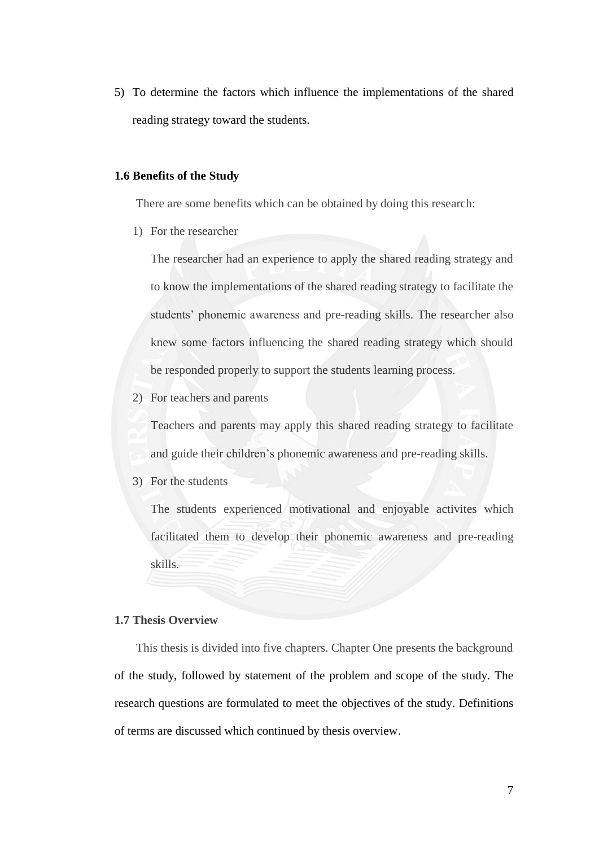5) To determine the factors which influence the implementations of the shared reading strategy toward the students.

## **1.6 Benefits of the Study**

There are some benefits which can be obtained by doing this research:

1) For the researcher

The researcher had an experience to apply the shared reading strategy and to know the implementations of the shared reading strategy to facilitate the students" phonemic awareness and pre-reading skills. The researcher also knew some factors influencing the shared reading strategy which should be responded properly to support the students learning process.

2) For teachers and parents

Teachers and parents may apply this shared reading strategy to facilitate and guide their children"s phonemic awareness and pre-reading skills.

3) For the students

The students experienced motivational and enjoyable activites which facilitated them to develop their phonemic awareness and pre-reading skills.

### **1.7 Thesis Overview**

This thesis is divided into five chapters. Chapter One presents the background of the study, followed by statement of the problem and scope of the study. The research questions are formulated to meet the objectives of the study. Definitions of terms are discussed which continued by thesis overview.